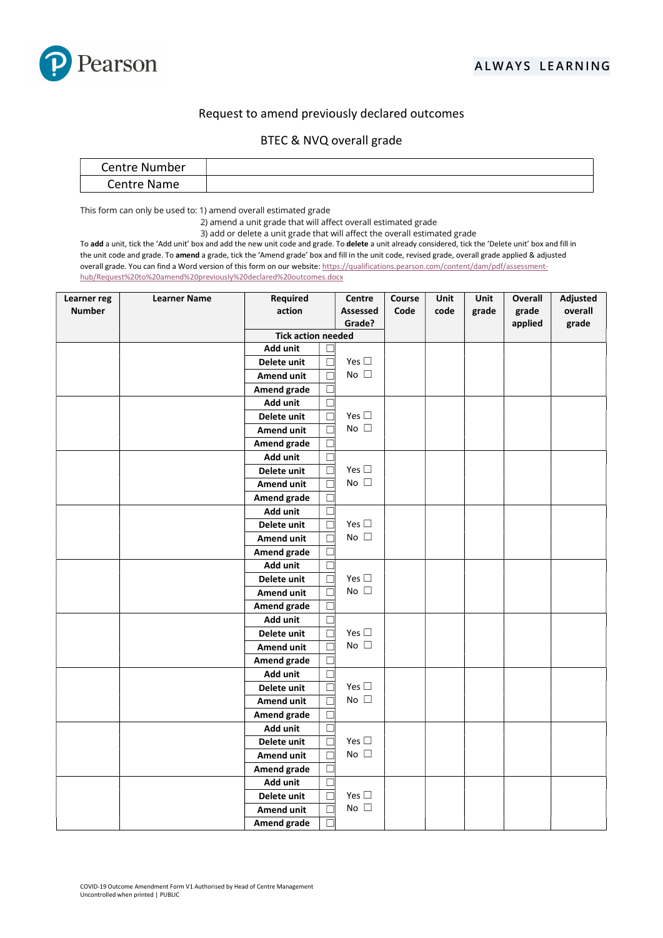

## Request to amend previously declared outcomes

| Centre<br>Nun<br>an media<br>nber |  |
|-----------------------------------|--|
| Centre Name                       |  |

This form can only be used to: 1) amend overall estimated grade

2) amend a unit grade that will affect overall estimated grade

3) add or delete a unit grade that will affect the overall estimated grade

To add a unit, tick the 'Add unit' box and add the new unit code and grade. To delete a unit already considered, tick the 'Delete unit' box and fill in the unit code and grade. To amend a grade, tick the 'Amend grade' box and fill in the unit code, revised grade, overall grade applied & adjusted overall grade. You can find a Word version of this form on our website: https://qualifications.pearson.com/content/dam/pdf/assessmenthub/Request%20to%20amend%20previously%20declared%20outcomes.docx

| Learner reg   | <b>Learner Name</b> | Required                  |  | Centre        | Course | Unit | Unit  | Overall | Adjusted |
|---------------|---------------------|---------------------------|--|---------------|--------|------|-------|---------|----------|
| <b>Number</b> |                     | action                    |  | Assessed      | Code   | code | grade | grade   | overall  |
|               |                     | Grade?                    |  |               |        |      |       | applied | grade    |
|               |                     | <b>Tick action needed</b> |  |               |        |      |       |         |          |
|               |                     | Add unit                  |  |               |        |      |       |         |          |
|               |                     | Delete unit               |  | Yes $\square$ |        |      |       |         |          |
|               |                     | <b>Amend unit</b>         |  | No $\square$  |        |      |       |         |          |
|               |                     | Amend grade               |  |               |        |      |       |         |          |
|               |                     | Add unit                  |  |               |        |      |       |         |          |
|               |                     | Delete unit               |  | Yes $\square$ |        |      |       |         |          |
|               |                     | Amend unit                |  | No $\square$  |        |      |       |         |          |
|               |                     | Amend grade               |  |               |        |      |       |         |          |
|               |                     | Add unit                  |  |               |        |      |       |         |          |
|               |                     | Delete unit               |  | Yes $\square$ |        |      |       |         |          |
|               |                     | Amend unit                |  | No $\square$  |        |      |       |         |          |
|               |                     | Amend grade               |  |               |        |      |       |         |          |
|               |                     | Add unit                  |  |               |        |      |       |         |          |
|               |                     | Delete unit               |  | Yes $\square$ |        |      |       |         |          |
|               |                     | Amend unit                |  | No $\square$  |        |      |       |         |          |
|               |                     | Amend grade               |  |               |        |      |       |         |          |
|               |                     | Add unit                  |  |               |        |      |       |         |          |
|               |                     | Delete unit               |  | Yes $\square$ |        |      |       |         |          |
|               |                     | <b>Amend unit</b>         |  | No $\square$  |        |      |       |         |          |
|               |                     | Amend grade               |  |               |        |      |       |         |          |
|               |                     | Add unit                  |  |               |        |      |       |         |          |
|               |                     | Delete unit               |  | Yes $\square$ |        |      |       |         |          |
|               |                     | Amend unit                |  | No $\square$  |        |      |       |         |          |
|               |                     | Amend grade               |  |               |        |      |       |         |          |
|               |                     | Add unit                  |  |               |        |      |       |         |          |
|               |                     | Delete unit               |  | Yes $\square$ |        |      |       |         |          |
|               |                     | <b>Amend unit</b>         |  | No $\square$  |        |      |       |         |          |
|               |                     | Amend grade               |  |               |        |      |       |         |          |
|               |                     | Add unit                  |  |               |        |      |       |         |          |
|               |                     | Delete unit               |  | Yes $\square$ |        |      |       |         |          |
|               |                     | Amend unit                |  | No $\square$  |        |      |       |         |          |
|               |                     | Amend grade               |  |               |        |      |       |         |          |
|               |                     | Add unit                  |  |               |        |      |       |         |          |
|               |                     | Delete unit               |  | Yes $\square$ |        |      |       |         |          |
|               |                     | Amend unit                |  | No $\square$  |        |      |       |         |          |
|               |                     | Amend grade               |  |               |        |      |       |         |          |